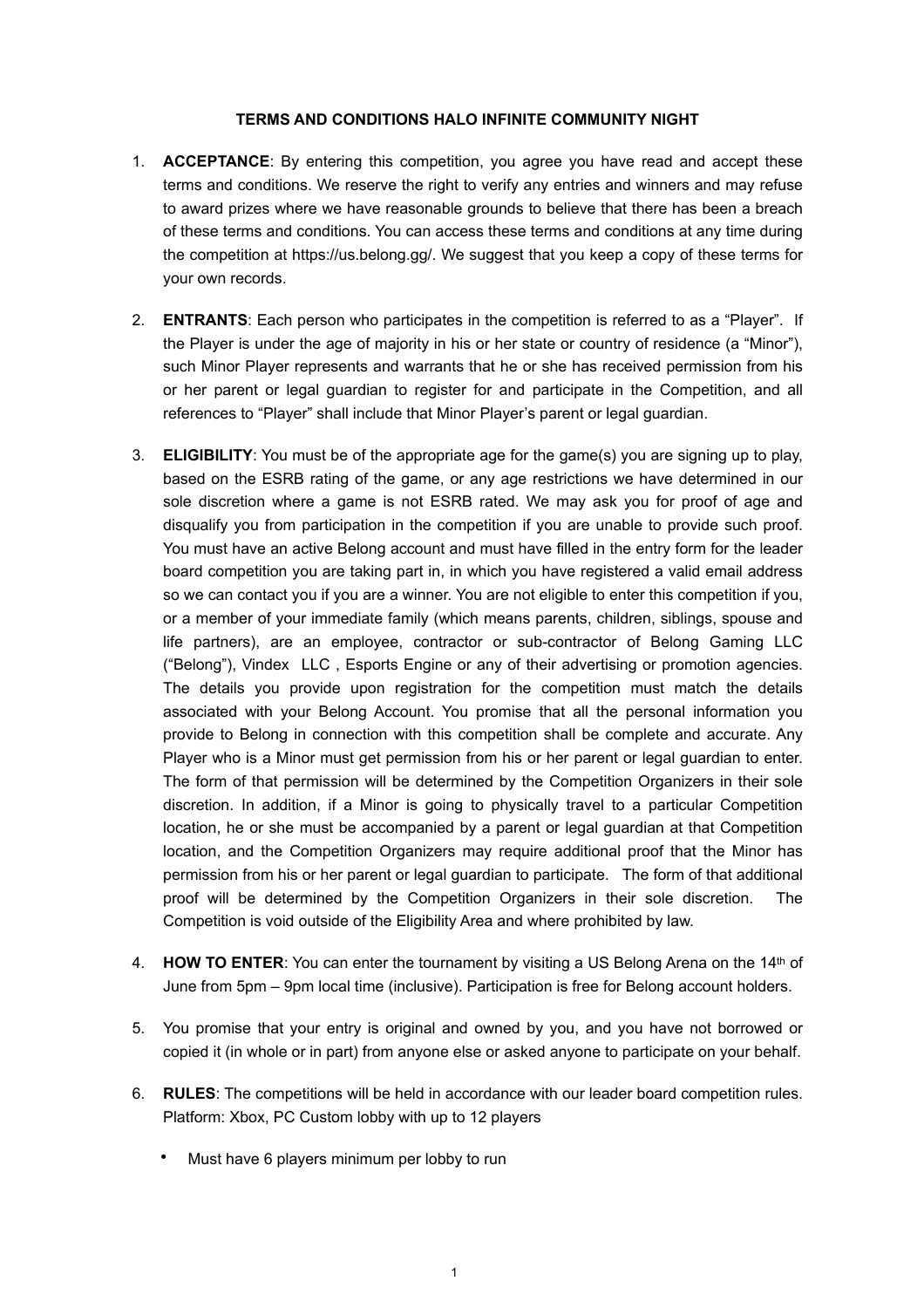## **TERMS AND CONDITIONS HALO INFINITE COMMUNITY NIGHT**

- 1. **ACCEPTANCE**: By entering this competition, you agree you have read and accept these terms and conditions. We reserve the right to verify any entries and winners and may refuse to award prizes where we have reasonable grounds to believe that there has been a breach of these terms and conditions. You can access these terms and conditions at any time during the competition at https://us.belong.gg/. We suggest that you keep a copy of these terms for your own records.
- 2. **ENTRANTS**: Each person who participates in the competition is referred to as a "Player". If the Player is under the age of majority in his or her state or country of residence (a "Minor"), such Minor Player represents and warrants that he or she has received permission from his or her parent or legal guardian to register for and participate in the Competition, and all references to "Player" shall include that Minor Player's parent or legal guardian.
- 3. **ELIGIBILITY**: You must be of the appropriate age for the game(s) you are signing up to play, based on the ESRB rating of the game, or any age restrictions we have determined in our sole discretion where a game is not ESRB rated. We may ask you for proof of age and disqualify you from participation in the competition if you are unable to provide such proof. You must have an active Belong account and must have filled in the entry form for the leader board competition you are taking part in, in which you have registered a valid email address so we can contact you if you are a winner. You are not eligible to enter this competition if you, or a member of your immediate family (which means parents, children, siblings, spouse and life partners), are an employee, contractor or sub-contractor of Belong Gaming LLC ("Belong"), Vindex LLC , Esports Engine or any of their advertising or promotion agencies. The details you provide upon registration for the competition must match the details associated with your Belong Account. You promise that all the personal information you provide to Belong in connection with this competition shall be complete and accurate. Any Player who is a Minor must get permission from his or her parent or legal guardian to enter. The form of that permission will be determined by the Competition Organizers in their sole discretion. In addition, if a Minor is going to physically travel to a particular Competition location, he or she must be accompanied by a parent or legal guardian at that Competition location, and the Competition Organizers may require additional proof that the Minor has permission from his or her parent or legal guardian to participate. The form of that additional proof will be determined by the Competition Organizers in their sole discretion. The Competition is void outside of the Eligibility Area and where prohibited by law.
- 4. **HOW TO ENTER**: You can enter the tournament by visiting a US Belong Arena on the 14th of June from 5pm – 9pm local time (inclusive). Participation is free for Belong account holders.
- 5. You promise that your entry is original and owned by you, and you have not borrowed or copied it (in whole or in part) from anyone else or asked anyone to participate on your behalf.
- 6. **RULES**: The competitions will be held in accordance with our leader board competition rules. Platform: Xbox, PC Custom lobby with up to 12 players
	- Must have 6 players minimum per lobby to run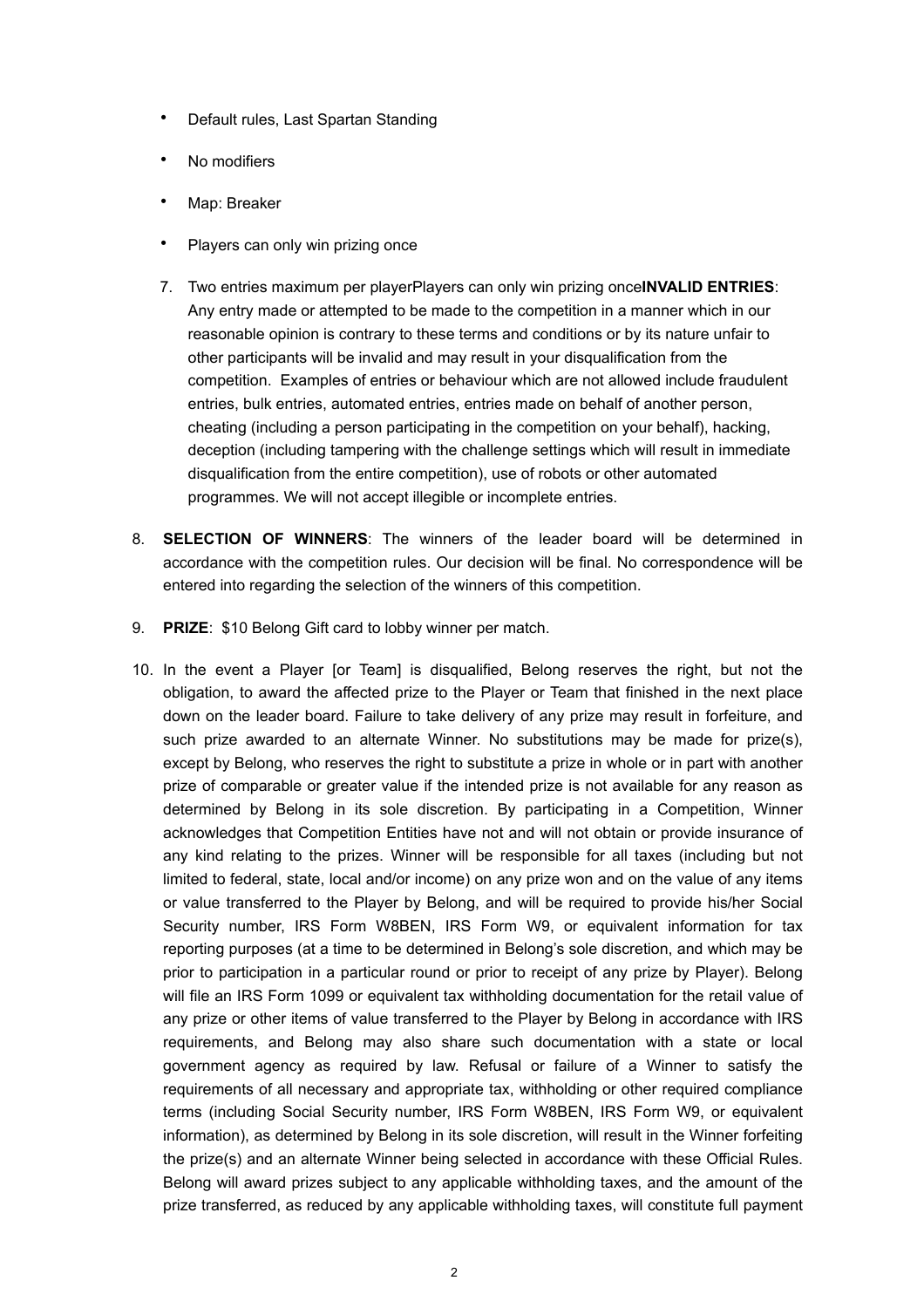- Default rules, Last Spartan Standing
- No modifiers
- Map: Breaker
- Players can only win prizing once
- 7. Two entries maximum per playerPlayers can only win prizing once**INVALID ENTRIES**: Any entry made or attempted to be made to the competition in a manner which in our reasonable opinion is contrary to these terms and conditions or by its nature unfair to other participants will be invalid and may result in your disqualification from the competition. Examples of entries or behaviour which are not allowed include fraudulent entries, bulk entries, automated entries, entries made on behalf of another person, cheating (including a person participating in the competition on your behalf), hacking, deception (including tampering with the challenge settings which will result in immediate disqualification from the entire competition), use of robots or other automated programmes. We will not accept illegible or incomplete entries.
- 8. **SELECTION OF WINNERS**: The winners of the leader board will be determined in accordance with the competition rules. Our decision will be final. No correspondence will be entered into regarding the selection of the winners of this competition.
- 9. **PRIZE**: \$10 Belong Gift card to lobby winner per match.
- 10. In the event a Player [or Team] is disqualified, Belong reserves the right, but not the obligation, to award the affected prize to the Player or Team that finished in the next place down on the leader board. Failure to take delivery of any prize may result in forfeiture, and such prize awarded to an alternate Winner. No substitutions may be made for prize(s), except by Belong, who reserves the right to substitute a prize in whole or in part with another prize of comparable or greater value if the intended prize is not available for any reason as determined by Belong in its sole discretion. By participating in a Competition, Winner acknowledges that Competition Entities have not and will not obtain or provide insurance of any kind relating to the prizes. Winner will be responsible for all taxes (including but not limited to federal, state, local and/or income) on any prize won and on the value of any items or value transferred to the Player by Belong, and will be required to provide his/her Social Security number, IRS Form W8BEN, IRS Form W9, or equivalent information for tax reporting purposes (at a time to be determined in Belong's sole discretion, and which may be prior to participation in a particular round or prior to receipt of any prize by Player). Belong will file an IRS Form 1099 or equivalent tax withholding documentation for the retail value of any prize or other items of value transferred to the Player by Belong in accordance with IRS requirements, and Belong may also share such documentation with a state or local government agency as required by law. Refusal or failure of a Winner to satisfy the requirements of all necessary and appropriate tax, withholding or other required compliance terms (including Social Security number, IRS Form W8BEN, IRS Form W9, or equivalent information), as determined by Belong in its sole discretion, will result in the Winner forfeiting the prize(s) and an alternate Winner being selected in accordance with these Official Rules. Belong will award prizes subject to any applicable withholding taxes, and the amount of the prize transferred, as reduced by any applicable withholding taxes, will constitute full payment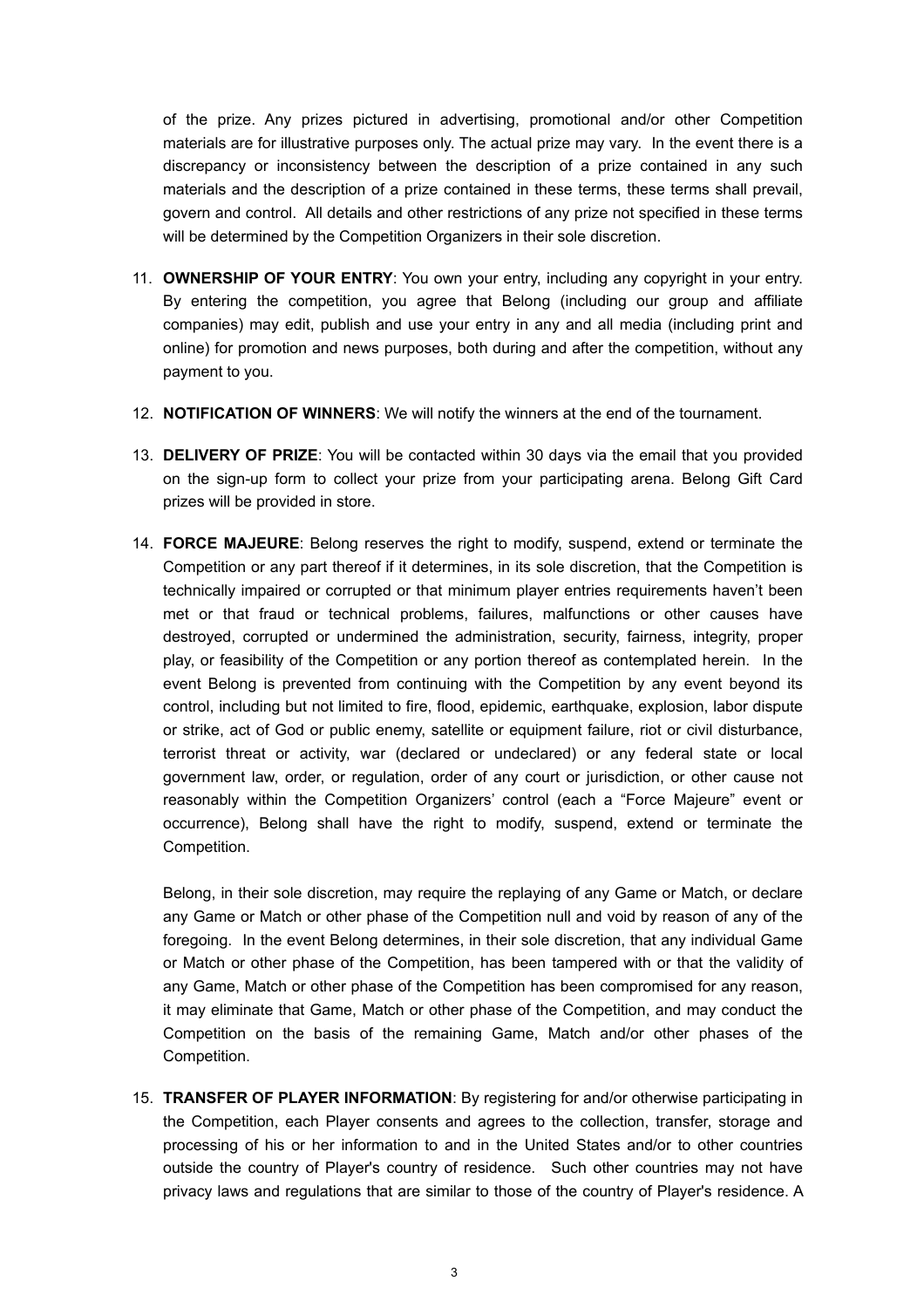of the prize. Any prizes pictured in advertising, promotional and/or other Competition materials are for illustrative purposes only. The actual prize may vary. In the event there is a discrepancy or inconsistency between the description of a prize contained in any such materials and the description of a prize contained in these terms, these terms shall prevail, govern and control. All details and other restrictions of any prize not specified in these terms will be determined by the Competition Organizers in their sole discretion.

- 11. **OWNERSHIP OF YOUR ENTRY**: You own your entry, including any copyright in your entry. By entering the competition, you agree that Belong (including our group and affiliate companies) may edit, publish and use your entry in any and all media (including print and online) for promotion and news purposes, both during and after the competition, without any payment to you.
- 12. **NOTIFICATION OF WINNERS**: We will notify the winners at the end of the tournament.
- 13. **DELIVERY OF PRIZE**: You will be contacted within 30 days via the email that you provided on the sign-up form to collect your prize from your participating arena. Belong Gift Card prizes will be provided in store.
- 14. **FORCE MAJEURE**: Belong reserves the right to modify, suspend, extend or terminate the Competition or any part thereof if it determines, in its sole discretion, that the Competition is technically impaired or corrupted or that minimum player entries requirements haven't been met or that fraud or technical problems, failures, malfunctions or other causes have destroyed, corrupted or undermined the administration, security, fairness, integrity, proper play, or feasibility of the Competition or any portion thereof as contemplated herein. In the event Belong is prevented from continuing with the Competition by any event beyond its control, including but not limited to fire, flood, epidemic, earthquake, explosion, labor dispute or strike, act of God or public enemy, satellite or equipment failure, riot or civil disturbance, terrorist threat or activity, war (declared or undeclared) or any federal state or local government law, order, or regulation, order of any court or jurisdiction, or other cause not reasonably within the Competition Organizers' control (each a "Force Majeure" event or occurrence), Belong shall have the right to modify, suspend, extend or terminate the Competition.

Belong, in their sole discretion, may require the replaying of any Game or Match, or declare any Game or Match or other phase of the Competition null and void by reason of any of the foregoing. In the event Belong determines, in their sole discretion, that any individual Game or Match or other phase of the Competition, has been tampered with or that the validity of any Game, Match or other phase of the Competition has been compromised for any reason, it may eliminate that Game, Match or other phase of the Competition, and may conduct the Competition on the basis of the remaining Game, Match and/or other phases of the Competition.

15. **TRANSFER OF PLAYER INFORMATION**: By registering for and/or otherwise participating in the Competition, each Player consents and agrees to the collection, transfer, storage and processing of his or her information to and in the United States and/or to other countries outside the country of Player's country of residence. Such other countries may not have privacy laws and regulations that are similar to those of the country of Player's residence. A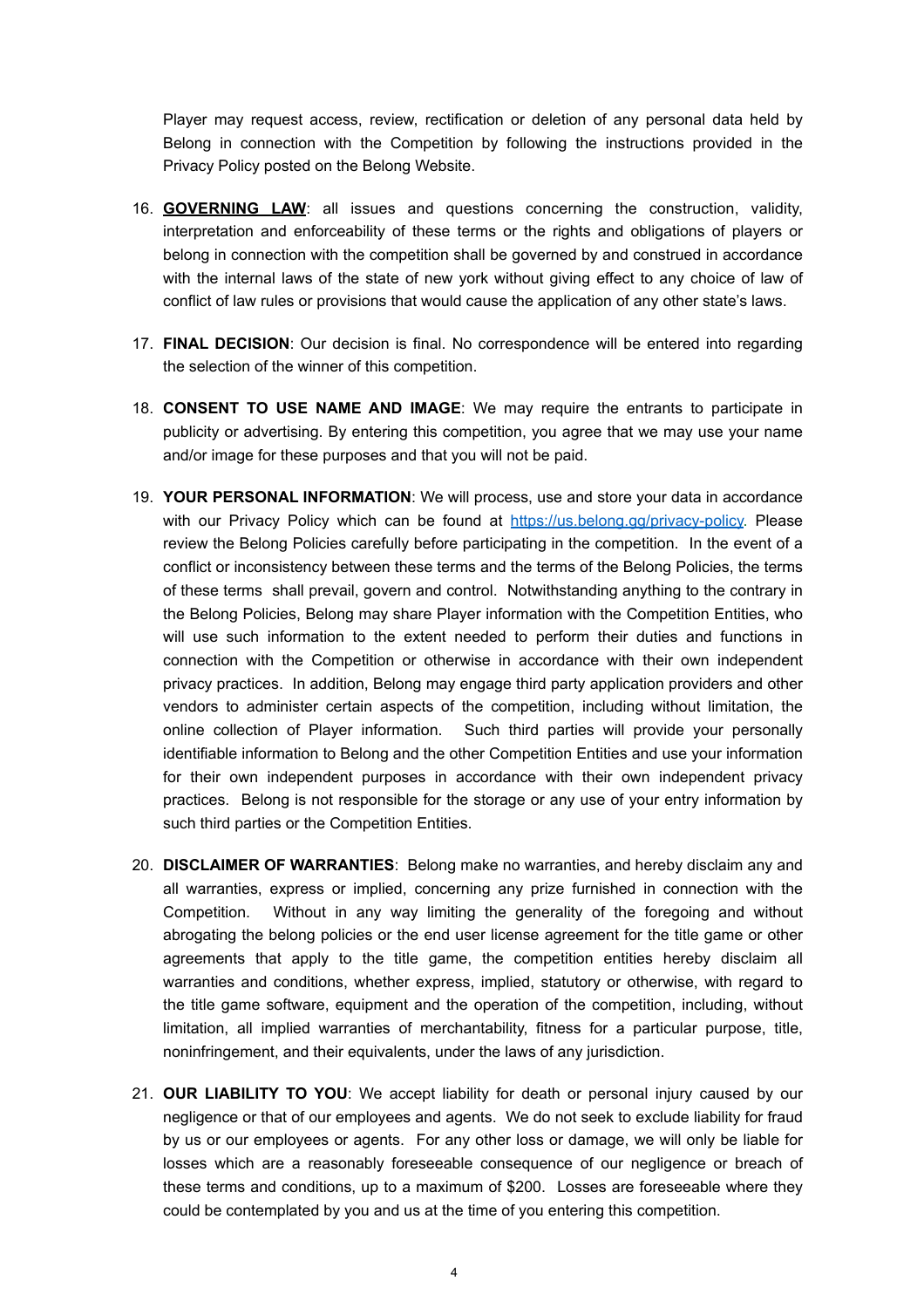Player may request access, review, rectification or deletion of any personal data held by Belong in connection with the Competition by following the instructions provided in the Privacy Policy posted on the Belong Website.

- 16. **GOVERNING LAW**: all issues and questions concerning the construction, validity, interpretation and enforceability of these terms or the rights and obligations of players or belong in connection with the competition shall be governed by and construed in accordance with the internal laws of the state of new york without giving effect to any choice of law of conflict of law rules or provisions that would cause the application of any other state's laws.
- 17. **FINAL DECISION**: Our decision is final. No correspondence will be entered into regarding the selection of the winner of this competition.
- 18. **CONSENT TO USE NAME AND IMAGE**: We may require the entrants to participate in publicity or advertising. By entering this competition, you agree that we may use your name and/or image for these purposes and that you will not be paid.
- 19. **YOUR PERSONAL INFORMATION**: We will process, use and store your data in accordance with our Privacy Policy which can be found at [https://us.belong.gg/privacy-policy.](https://us.belong.gg/privacy-policy) Please review the Belong Policies carefully before participating in the competition. In the event of a conflict or inconsistency between these terms and the terms of the Belong Policies, the terms of these terms shall prevail, govern and control. Notwithstanding anything to the contrary in the Belong Policies, Belong may share Player information with the Competition Entities, who will use such information to the extent needed to perform their duties and functions in connection with the Competition or otherwise in accordance with their own independent privacy practices. In addition, Belong may engage third party application providers and other vendors to administer certain aspects of the competition, including without limitation, the online collection of Player information. Such third parties will provide your personally identifiable information to Belong and the other Competition Entities and use your information for their own independent purposes in accordance with their own independent privacy practices. Belong is not responsible for the storage or any use of your entry information by such third parties or the Competition Entities.
- 20. **DISCLAIMER OF WARRANTIES**: Belong make no warranties, and hereby disclaim any and all warranties, express or implied, concerning any prize furnished in connection with the Competition. Without in any way limiting the generality of the foregoing and without abrogating the belong policies or the end user license agreement for the title game or other agreements that apply to the title game, the competition entities hereby disclaim all warranties and conditions, whether express, implied, statutory or otherwise, with regard to the title game software, equipment and the operation of the competition, including, without limitation, all implied warranties of merchantability, fitness for a particular purpose, title, noninfringement, and their equivalents, under the laws of any jurisdiction.
- 21. **OUR LIABILITY TO YOU**: We accept liability for death or personal injury caused by our negligence or that of our employees and agents. We do not seek to exclude liability for fraud by us or our employees or agents. For any other loss or damage, we will only be liable for losses which are a reasonably foreseeable consequence of our negligence or breach of these terms and conditions, up to a maximum of \$200. Losses are foreseeable where they could be contemplated by you and us at the time of you entering this competition.